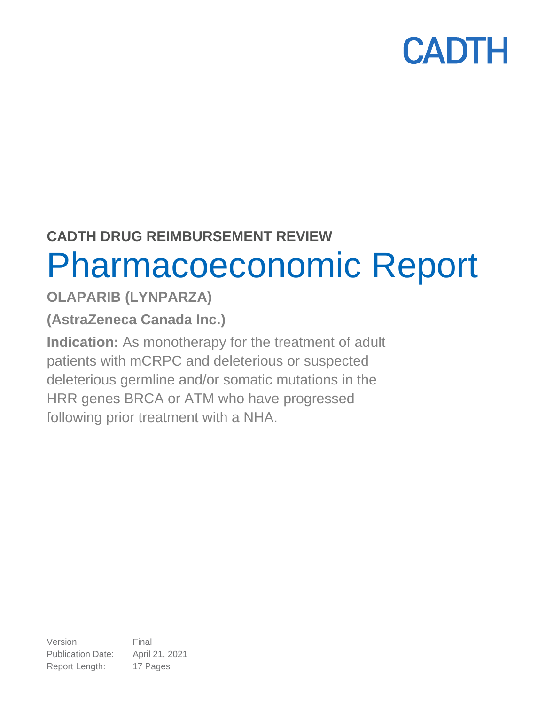### **CADTH DRUG REIMBURSEMENT REVIEW** Pharmacoeconomic Report

### **OLAPARIB (LYNPARZA)**

**(AstraZeneca Canada Inc.)**

**Indication:** As monotherapy for the treatment of adult patients with mCRPC and deleterious or suspected deleterious germline and/or somatic mutations in the HRR genes BRCA or ATM who have progressed following prior treatment with a NHA.

Version: Final Publication Date: April 21, 2021 Report Length: 17 Pages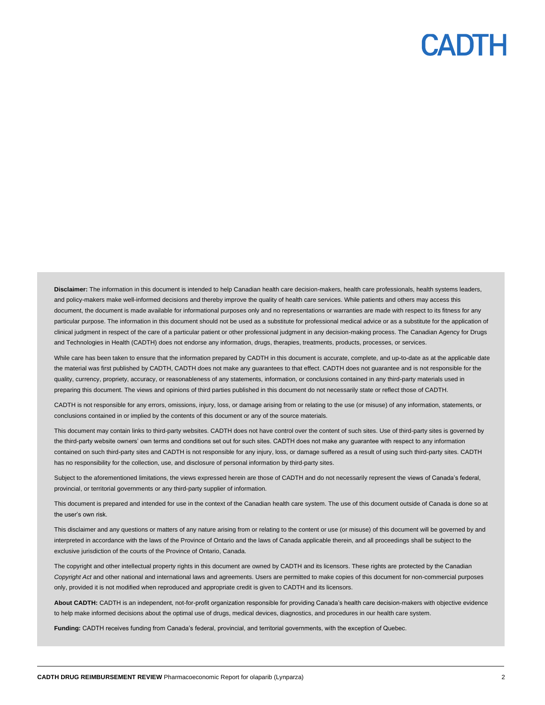**Disclaimer:** The information in this document is intended to help Canadian health care decision-makers, health care professionals, health systems leaders, and policy-makers make well-informed decisions and thereby improve the quality of health care services. While patients and others may access this document, the document is made available for informational purposes only and no representations or warranties are made with respect to its fitness for any particular purpose. The information in this document should not be used as a substitute for professional medical advice or as a substitute for the application of clinical judgment in respect of the care of a particular patient or other professional judgment in any decision-making process. The Canadian Agency for Drugs and Technologies in Health (CADTH) does not endorse any information, drugs, therapies, treatments, products, processes, or services.

While care has been taken to ensure that the information prepared by CADTH in this document is accurate, complete, and up-to-date as at the applicable date the material was first published by CADTH, CADTH does not make any guarantees to that effect. CADTH does not guarantee and is not responsible for the quality, currency, propriety, accuracy, or reasonableness of any statements, information, or conclusions contained in any third-party materials used in preparing this document. The views and opinions of third parties published in this document do not necessarily state or reflect those of CADTH.

CADTH is not responsible for any errors, omissions, injury, loss, or damage arising from or relating to the use (or misuse) of any information, statements, or conclusions contained in or implied by the contents of this document or any of the source materials.

This document may contain links to third-party websites. CADTH does not have control over the content of such sites. Use of third-party sites is governed by the third-party website owners' own terms and conditions set out for such sites. CADTH does not make any guarantee with respect to any information contained on such third-party sites and CADTH is not responsible for any injury, loss, or damage suffered as a result of using such third-party sites. CADTH has no responsibility for the collection, use, and disclosure of personal information by third-party sites.

Subject to the aforementioned limitations, the views expressed herein are those of CADTH and do not necessarily represent the views of Canada's federal, provincial, or territorial governments or any third-party supplier of information.

This document is prepared and intended for use in the context of the Canadian health care system. The use of this document outside of Canada is done so at the user's own risk.

This disclaimer and any questions or matters of any nature arising from or relating to the content or use (or misuse) of this document will be governed by and interpreted in accordance with the laws of the Province of Ontario and the laws of Canada applicable therein, and all proceedings shall be subject to the exclusive jurisdiction of the courts of the Province of Ontario, Canada.

The copyright and other intellectual property rights in this document are owned by CADTH and its licensors. These rights are protected by the Canadian *Copyright Act* and other national and international laws and agreements. Users are permitted to make copies of this document for non-commercial purposes only, provided it is not modified when reproduced and appropriate credit is given to CADTH and its licensors.

**About CADTH:** CADTH is an independent, not-for-profit organization responsible for providing Canada's health care decision-makers with objective evidence to help make informed decisions about the optimal use of drugs, medical devices, diagnostics, and procedures in our health care system.

**Funding:** CADTH receives funding from Canada's federal, provincial, and territorial governments, with the exception of Quebec.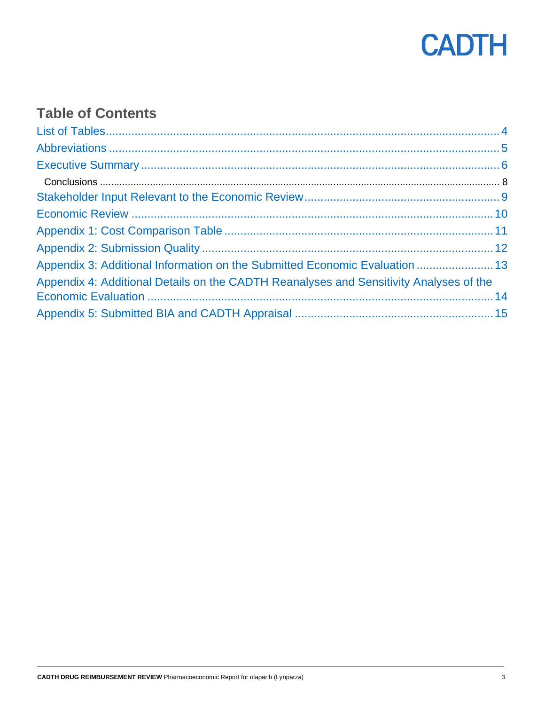

### **Table of Contents**

| Appendix 3: Additional Information on the Submitted Economic Evaluation  13            |
|----------------------------------------------------------------------------------------|
| Appendix 4: Additional Details on the CADTH Reanalyses and Sensitivity Analyses of the |
|                                                                                        |
|                                                                                        |
|                                                                                        |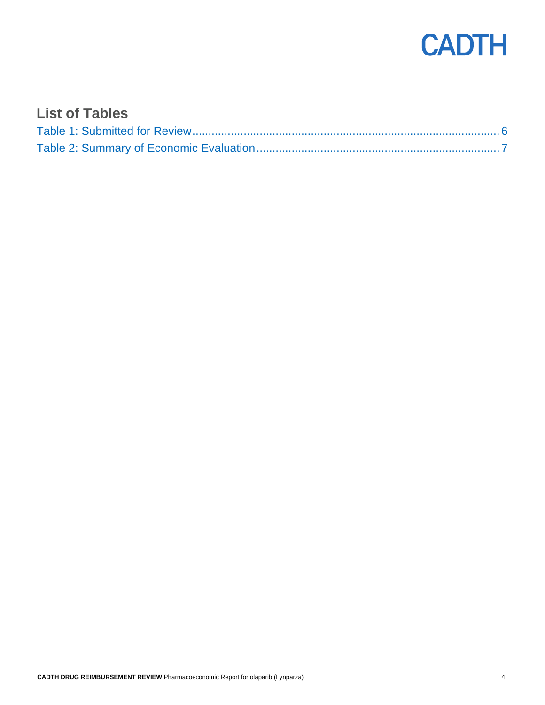

#### <span id="page-3-0"></span>**List of Tables**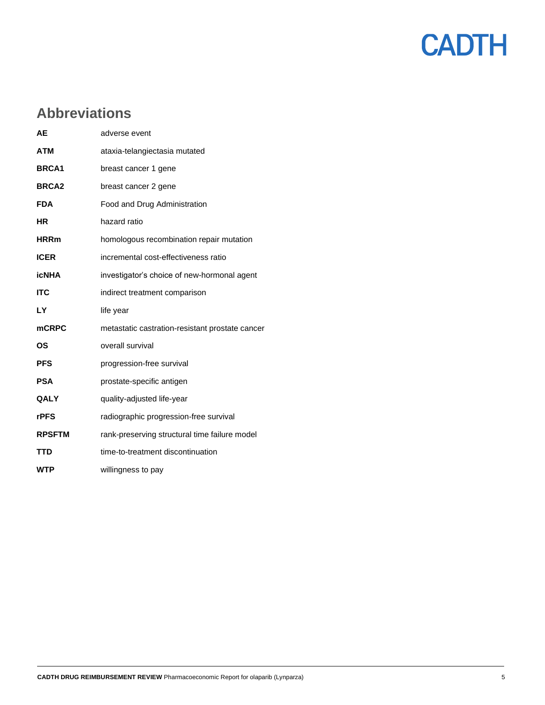

### <span id="page-4-0"></span>**Abbreviations**

| <b>AE</b>     | adverse event                                   |
|---------------|-------------------------------------------------|
| <b>ATM</b>    | ataxia-telangiectasia mutated                   |
| <b>BRCA1</b>  | breast cancer 1 gene                            |
| <b>BRCA2</b>  | breast cancer 2 gene                            |
| <b>FDA</b>    | Food and Drug Administration                    |
| <b>HR</b>     | hazard ratio                                    |
| <b>HRRm</b>   | homologous recombination repair mutation        |
| <b>ICER</b>   | incremental cost-effectiveness ratio            |
| <b>icNHA</b>  | investigator's choice of new-hormonal agent     |
| <b>ITC</b>    | indirect treatment comparison                   |
| LY            | life year                                       |
| <b>mCRPC</b>  | metastatic castration-resistant prostate cancer |
| ΟS            | overall survival                                |
| <b>PFS</b>    | progression-free survival                       |
| <b>PSA</b>    | prostate-specific antigen                       |
| QALY          | quality-adjusted life-year                      |
| <b>rPFS</b>   | radiographic progression-free survival          |
| <b>RPSFTM</b> | rank-preserving structural time failure model   |
| <b>TTD</b>    | time-to-treatment discontinuation               |
| <b>WTP</b>    | willingness to pay                              |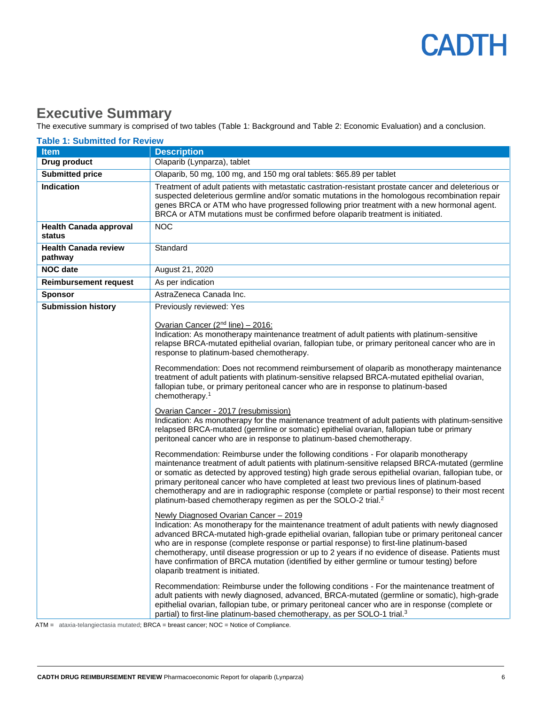#### <span id="page-5-0"></span>**Executive Summary**

The executive summary is comprised of two tables [\(Table 1:](#page-5-1) Background and [Table 2:](#page-6-0) Economic Evaluation) and a conclusion.

<span id="page-5-1"></span>

| <b>Table 1: Submitted for Review</b>    |                                                                                                                                                                                                                                                                                                                                                                                                                                                                                                                                                                                                                                                                                                                                                                                                                                                                                                                                                                                                                                                                                                                                                                                                                                                                                                                                                                                                                                                                                                                                                                                                                                                               |  |  |
|-----------------------------------------|---------------------------------------------------------------------------------------------------------------------------------------------------------------------------------------------------------------------------------------------------------------------------------------------------------------------------------------------------------------------------------------------------------------------------------------------------------------------------------------------------------------------------------------------------------------------------------------------------------------------------------------------------------------------------------------------------------------------------------------------------------------------------------------------------------------------------------------------------------------------------------------------------------------------------------------------------------------------------------------------------------------------------------------------------------------------------------------------------------------------------------------------------------------------------------------------------------------------------------------------------------------------------------------------------------------------------------------------------------------------------------------------------------------------------------------------------------------------------------------------------------------------------------------------------------------------------------------------------------------------------------------------------------------|--|--|
| <b>Item</b>                             | <b>Description</b>                                                                                                                                                                                                                                                                                                                                                                                                                                                                                                                                                                                                                                                                                                                                                                                                                                                                                                                                                                                                                                                                                                                                                                                                                                                                                                                                                                                                                                                                                                                                                                                                                                            |  |  |
| <b>Drug product</b>                     | Olaparib (Lynparza), tablet                                                                                                                                                                                                                                                                                                                                                                                                                                                                                                                                                                                                                                                                                                                                                                                                                                                                                                                                                                                                                                                                                                                                                                                                                                                                                                                                                                                                                                                                                                                                                                                                                                   |  |  |
| <b>Submitted price</b>                  | Olaparib, 50 mg, 100 mg, and 150 mg oral tablets: \$65.89 per tablet                                                                                                                                                                                                                                                                                                                                                                                                                                                                                                                                                                                                                                                                                                                                                                                                                                                                                                                                                                                                                                                                                                                                                                                                                                                                                                                                                                                                                                                                                                                                                                                          |  |  |
| <b>Indication</b>                       | Treatment of adult patients with metastatic castration-resistant prostate cancer and deleterious or<br>suspected deleterious germline and/or somatic mutations in the homologous recombination repair<br>genes BRCA or ATM who have progressed following prior treatment with a new hormonal agent.<br>BRCA or ATM mutations must be confirmed before olaparib treatment is initiated.                                                                                                                                                                                                                                                                                                                                                                                                                                                                                                                                                                                                                                                                                                                                                                                                                                                                                                                                                                                                                                                                                                                                                                                                                                                                        |  |  |
| <b>Health Canada approval</b><br>status | <b>NOC</b>                                                                                                                                                                                                                                                                                                                                                                                                                                                                                                                                                                                                                                                                                                                                                                                                                                                                                                                                                                                                                                                                                                                                                                                                                                                                                                                                                                                                                                                                                                                                                                                                                                                    |  |  |
| <b>Health Canada review</b><br>pathway  | Standard                                                                                                                                                                                                                                                                                                                                                                                                                                                                                                                                                                                                                                                                                                                                                                                                                                                                                                                                                                                                                                                                                                                                                                                                                                                                                                                                                                                                                                                                                                                                                                                                                                                      |  |  |
| <b>NOC date</b>                         | August 21, 2020                                                                                                                                                                                                                                                                                                                                                                                                                                                                                                                                                                                                                                                                                                                                                                                                                                                                                                                                                                                                                                                                                                                                                                                                                                                                                                                                                                                                                                                                                                                                                                                                                                               |  |  |
| <b>Reimbursement request</b>            | As per indication                                                                                                                                                                                                                                                                                                                                                                                                                                                                                                                                                                                                                                                                                                                                                                                                                                                                                                                                                                                                                                                                                                                                                                                                                                                                                                                                                                                                                                                                                                                                                                                                                                             |  |  |
| <b>Sponsor</b>                          | AstraZeneca Canada Inc.                                                                                                                                                                                                                                                                                                                                                                                                                                                                                                                                                                                                                                                                                                                                                                                                                                                                                                                                                                                                                                                                                                                                                                                                                                                                                                                                                                                                                                                                                                                                                                                                                                       |  |  |
| <b>Submission history</b>               | Previously reviewed: Yes                                                                                                                                                                                                                                                                                                                                                                                                                                                                                                                                                                                                                                                                                                                                                                                                                                                                                                                                                                                                                                                                                                                                                                                                                                                                                                                                                                                                                                                                                                                                                                                                                                      |  |  |
|                                         | Ovarian Cancer (2 <sup>nd</sup> line) - 2016:<br>Indication: As monotherapy maintenance treatment of adult patients with platinum-sensitive<br>relapse BRCA-mutated epithelial ovarian, fallopian tube, or primary peritoneal cancer who are in<br>response to platinum-based chemotherapy.<br>Recommendation: Does not recommend reimbursement of olaparib as monotherapy maintenance<br>treatment of adult patients with platinum-sensitive relapsed BRCA-mutated epithelial ovarian,<br>fallopian tube, or primary peritoneal cancer who are in response to platinum-based<br>chemotherapy. <sup>1</sup><br>Ovarian Cancer - 2017 (resubmission)<br>Indication: As monotherapy for the maintenance treatment of adult patients with platinum-sensitive<br>relapsed BRCA-mutated (germline or somatic) epithelial ovarian, fallopian tube or primary<br>peritoneal cancer who are in response to platinum-based chemotherapy.<br>Recommendation: Reimburse under the following conditions - For olaparib monotherapy<br>maintenance treatment of adult patients with platinum-sensitive relapsed BRCA-mutated (germline<br>or somatic as detected by approved testing) high grade serous epithelial ovarian, fallopian tube, or<br>primary peritoneal cancer who have completed at least two previous lines of platinum-based<br>chemotherapy and are in radiographic response (complete or partial response) to their most recent<br>platinum-based chemotherapy regimen as per the SOLO-2 trial. <sup>2</sup><br>Newly Diagnosed Ovarian Cancer - 2019<br>Indication: As monotherapy for the maintenance treatment of adult patients with newly diagnosed |  |  |
|                                         | advanced BRCA-mutated high-grade epithelial ovarian, fallopian tube or primary peritoneal cancer<br>who are in response (complete response or partial response) to first-line platinum-based<br>chemotherapy, until disease progression or up to 2 years if no evidence of disease. Patients must<br>have confirmation of BRCA mutation (identified by either germline or tumour testing) before<br>olaparib treatment is initiated.<br>Recommendation: Reimburse under the following conditions - For the maintenance treatment of<br>adult patients with newly diagnosed, advanced, BRCA-mutated (germline or somatic), high-grade<br>epithelial ovarian, fallopian tube, or primary peritoneal cancer who are in response (complete or                                                                                                                                                                                                                                                                                                                                                                                                                                                                                                                                                                                                                                                                                                                                                                                                                                                                                                                     |  |  |
|                                         | partial) to first-line platinum-based chemotherapy, as per SOLO-1 trial. <sup>3</sup>                                                                                                                                                                                                                                                                                                                                                                                                                                                                                                                                                                                                                                                                                                                                                                                                                                                                                                                                                                                                                                                                                                                                                                                                                                                                                                                                                                                                                                                                                                                                                                         |  |  |

ATM = ataxia-telangiectasia mutated; BRCA = breast cancer; NOC = Notice of Compliance.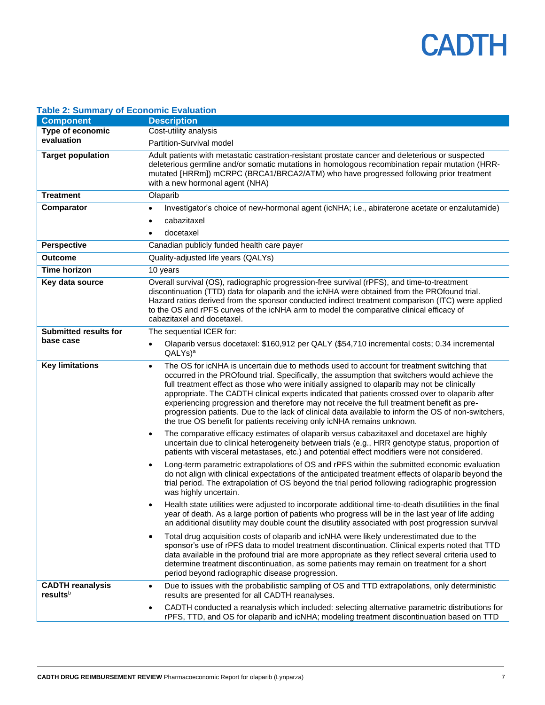

| able 2. Odifficially of Economic Evaluation |                                                                                                                                                                                                                                                                                                                                                                                                                                                                                                                                                                                                                                                                                         |
|---------------------------------------------|-----------------------------------------------------------------------------------------------------------------------------------------------------------------------------------------------------------------------------------------------------------------------------------------------------------------------------------------------------------------------------------------------------------------------------------------------------------------------------------------------------------------------------------------------------------------------------------------------------------------------------------------------------------------------------------------|
| <b>Component</b>                            | <b>Description</b>                                                                                                                                                                                                                                                                                                                                                                                                                                                                                                                                                                                                                                                                      |
| Type of economic                            | Cost-utility analysis                                                                                                                                                                                                                                                                                                                                                                                                                                                                                                                                                                                                                                                                   |
| evaluation                                  | Partition-Survival model                                                                                                                                                                                                                                                                                                                                                                                                                                                                                                                                                                                                                                                                |
| <b>Target population</b>                    | Adult patients with metastatic castration-resistant prostate cancer and deleterious or suspected<br>deleterious germline and/or somatic mutations in homologous recombination repair mutation (HRR-<br>mutated [HRRm]) mCRPC (BRCA1/BRCA2/ATM) who have progressed following prior treatment<br>with a new hormonal agent (NHA)                                                                                                                                                                                                                                                                                                                                                         |
| <b>Treatment</b>                            | Olaparib                                                                                                                                                                                                                                                                                                                                                                                                                                                                                                                                                                                                                                                                                |
| Comparator                                  | Investigator's choice of new-hormonal agent (icNHA; i.e., abiraterone acetate or enzalutamide)<br>$\bullet$                                                                                                                                                                                                                                                                                                                                                                                                                                                                                                                                                                             |
|                                             | cabazitaxel<br>$\bullet$                                                                                                                                                                                                                                                                                                                                                                                                                                                                                                                                                                                                                                                                |
|                                             | docetaxel<br>$\bullet$                                                                                                                                                                                                                                                                                                                                                                                                                                                                                                                                                                                                                                                                  |
| <b>Perspective</b>                          | Canadian publicly funded health care payer                                                                                                                                                                                                                                                                                                                                                                                                                                                                                                                                                                                                                                              |
| <b>Outcome</b>                              | Quality-adjusted life years (QALYs)                                                                                                                                                                                                                                                                                                                                                                                                                                                                                                                                                                                                                                                     |
| Time horizon                                | 10 years                                                                                                                                                                                                                                                                                                                                                                                                                                                                                                                                                                                                                                                                                |
| Key data source                             | Overall survival (OS), radiographic progression-free survival (rPFS), and time-to-treatment                                                                                                                                                                                                                                                                                                                                                                                                                                                                                                                                                                                             |
|                                             | discontinuation (TTD) data for olaparib and the icNHA were obtained from the PROfound trial.<br>Hazard ratios derived from the sponsor conducted indirect treatment comparison (ITC) were applied<br>to the OS and rPFS curves of the icNHA arm to model the comparative clinical efficacy of<br>cabazitaxel and docetaxel.                                                                                                                                                                                                                                                                                                                                                             |
| <b>Submitted results for</b>                | The sequential ICER for:                                                                                                                                                                                                                                                                                                                                                                                                                                                                                                                                                                                                                                                                |
| base case                                   | Olaparib versus docetaxel: \$160,912 per QALY (\$54,710 incremental costs; 0.34 incremental<br>$\bullet$<br>$QALYs$ <sup>a</sup>                                                                                                                                                                                                                                                                                                                                                                                                                                                                                                                                                        |
| <b>Key limitations</b>                      | The OS for icNHA is uncertain due to methods used to account for treatment switching that<br>$\bullet$<br>occurred in the PROfound trial. Specifically, the assumption that switchers would achieve the<br>full treatment effect as those who were initially assigned to olaparib may not be clinically<br>appropriate. The CADTH clinical experts indicated that patients crossed over to olaparib after<br>experiencing progression and therefore may not receive the full treatment benefit as pre-<br>progression patients. Due to the lack of clinical data available to inform the OS of non-switchers,<br>the true OS benefit for patients receiving only icNHA remains unknown. |
|                                             | The comparative efficacy estimates of olaparib versus cabazitaxel and docetaxel are highly<br>$\bullet$<br>uncertain due to clinical heterogeneity between trials (e.g., HRR genotype status, proportion of<br>patients with visceral metastases, etc.) and potential effect modifiers were not considered.                                                                                                                                                                                                                                                                                                                                                                             |
|                                             | Long-term parametric extrapolations of OS and rPFS within the submitted economic evaluation<br>$\bullet$<br>do not align with clinical expectations of the anticipated treatment effects of olaparib beyond the<br>trial period. The extrapolation of OS beyond the trial period following radiographic progression<br>was highly uncertain.                                                                                                                                                                                                                                                                                                                                            |
|                                             | Health state utilities were adjusted to incorporate additional time-to-death disutilities in the final<br>$\bullet$<br>year of death. As a large portion of patients who progress will be in the last year of life adding<br>an additional disutility may double count the disutility associated with post progression survival                                                                                                                                                                                                                                                                                                                                                         |
|                                             | Total drug acquisition costs of olaparib and icNHA were likely underestimated due to the<br>$\bullet$<br>sponsor's use of rPFS data to model treatment discontinuation. Clinical experts noted that TTD<br>data available in the profound trial are more appropriate as they reflect several criteria used to<br>determine treatment discontinuation, as some patients may remain on treatment for a short<br>period beyond radiographic disease progression.                                                                                                                                                                                                                           |
| <b>CADTH reanalysis</b><br>resultsb         | Due to issues with the probabilistic sampling of OS and TTD extrapolations, only deterministic<br>$\bullet$<br>results are presented for all CADTH reanalyses.                                                                                                                                                                                                                                                                                                                                                                                                                                                                                                                          |
|                                             | CADTH conducted a reanalysis which included: selecting alternative parametric distributions for<br>$\bullet$<br>rPFS, TTD, and OS for olaparib and icNHA; modeling treatment discontinuation based on TTD                                                                                                                                                                                                                                                                                                                                                                                                                                                                               |

#### <span id="page-6-0"></span>**Table 2: Summary of Economic Evaluation**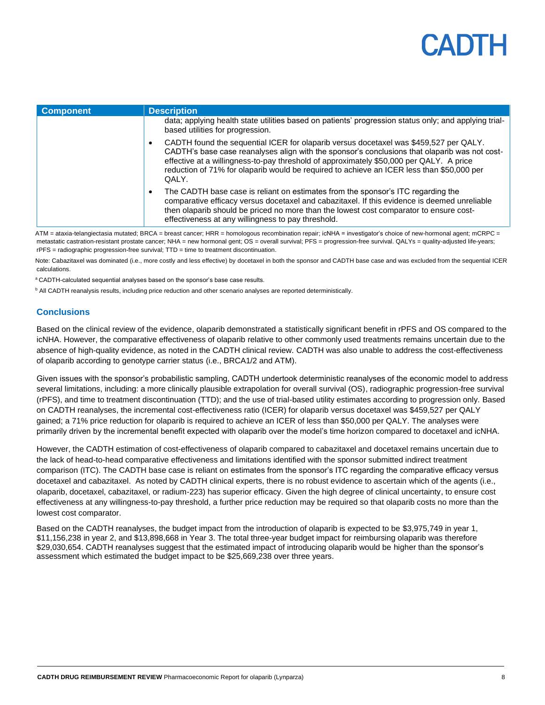| <b>Component</b> | <b>Description</b>                                                                                                                                                                                                                                                                                                                                                                                   |
|------------------|------------------------------------------------------------------------------------------------------------------------------------------------------------------------------------------------------------------------------------------------------------------------------------------------------------------------------------------------------------------------------------------------------|
|                  | data; applying health state utilities based on patients' progression status only; and applying trial-<br>based utilities for progression.                                                                                                                                                                                                                                                            |
|                  | CADTH found the sequential ICER for olaparib versus docetaxel was \$459,527 per QALY.<br>$\bullet$<br>CADTH's base case reanalyses align with the sponsor's conclusions that olaparib was not cost-<br>effective at a willingness-to-pay threshold of approximately \$50,000 per QALY. A price<br>reduction of 71% for olaparib would be required to achieve an ICER less than \$50,000 per<br>QALY. |
|                  | The CADTH base case is reliant on estimates from the sponsor's ITC regarding the<br>$\bullet$<br>comparative efficacy versus docetaxel and cabazitaxel. If this evidence is deemed unreliable<br>then olaparib should be priced no more than the lowest cost comparator to ensure cost-<br>effectiveness at any willingness to pay threshold.                                                        |

ATM = ataxia-telangiectasia mutated; BRCA = breast cancer; HRR = homologous recombination repair; icNHA = investigator's choice of new-hormonal agent; mCRPC = metastatic castration-resistant prostate cancer; NHA = new hormonal gent; OS = overall survival; PFS = progression-free survival. QALYs = quality-adjusted life-years; rPFS = radiographic progression-free survival; TTD = time to treatment discontinuation.

Note: Cabazitaxel was dominated (i.e., more costly and less effective) by docetaxel in both the sponsor and CADTH base case and was excluded from the sequential ICER calculations.

a CADTH-calculated sequential analyses based on the sponsor's base case results.

<span id="page-7-0"></span>**b** All CADTH reanalysis results, including price reduction and other scenario analyses are reported deterministically.

#### **Conclusions**

Based on the clinical review of the evidence, olaparib demonstrated a statistically significant benefit in rPFS and OS compared to the icNHA. However, the comparative effectiveness of olaparib relative to other commonly used treatments remains uncertain due to the absence of high-quality evidence, as noted in the CADTH clinical review. CADTH was also unable to address the cost-effectiveness of olaparib according to genotype carrier status (i.e., BRCA1/2 and ATM).

Given issues with the sponsor's probabilistic sampling, CADTH undertook deterministic reanalyses of the economic model to address several limitations, including: a more clinically plausible extrapolation for overall survival (OS), radiographic progression-free survival (rPFS), and time to treatment discontinuation (TTD); and the use of trial-based utility estimates according to progression only. Based on CADTH reanalyses, the incremental cost-effectiveness ratio (ICER) for olaparib versus docetaxel was \$459,527 per QALY gained; a 71% price reduction for olaparib is required to achieve an ICER of less than \$50,000 per QALY. The analyses were primarily driven by the incremental benefit expected with olaparib over the model's time horizon compared to docetaxel and icNHA.

However, the CADTH estimation of cost-effectiveness of olaparib compared to cabazitaxel and docetaxel remains uncertain due to the lack of head-to-head comparative effectiveness and limitations identified with the sponsor submitted indirect treatment comparison (ITC). The CADTH base case is reliant on estimates from the sponsor's ITC regarding the comparative efficacy versus docetaxel and cabazitaxel. As noted by CADTH clinical experts, there is no robust evidence to ascertain which of the agents (i.e., olaparib, docetaxel, cabazitaxel, or radium-223) has superior efficacy. Given the high degree of clinical uncertainty, to ensure cost effectiveness at any willingness-to-pay threshold, a further price reduction may be required so that olaparib costs no more than the lowest cost comparator.

Based on the CADTH reanalyses, the budget impact from the introduction of olaparib is expected to be \$3,975,749 in year 1, \$11,156,238 in year 2, and \$13,898,668 in Year 3. The total three-year budget impact for reimbursing olaparib was therefore \$29,030,654. CADTH reanalyses suggest that the estimated impact of introducing olaparib would be higher than the sponsor's assessment which estimated the budget impact to be \$25,669,238 over three years.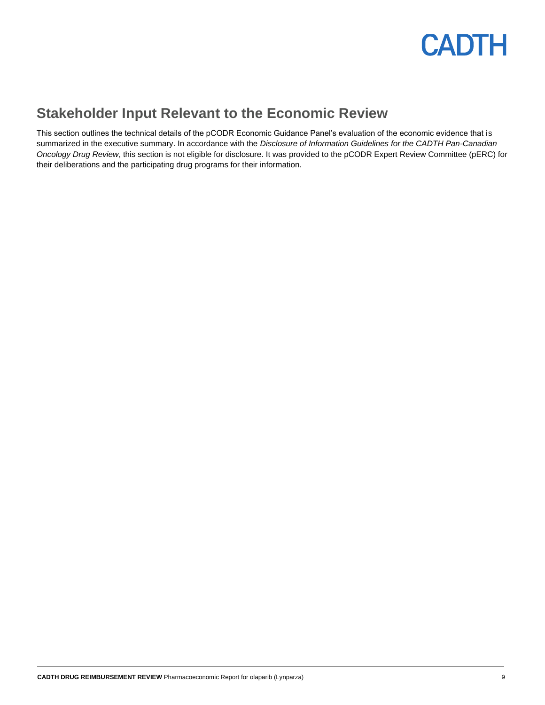

#### <span id="page-8-0"></span>**Stakeholder Input Relevant to the Economic Review**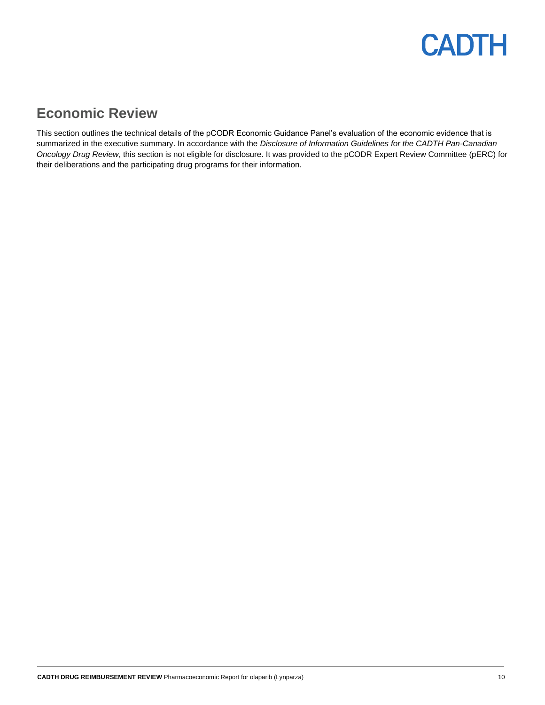#### <span id="page-9-0"></span>**Economic Review**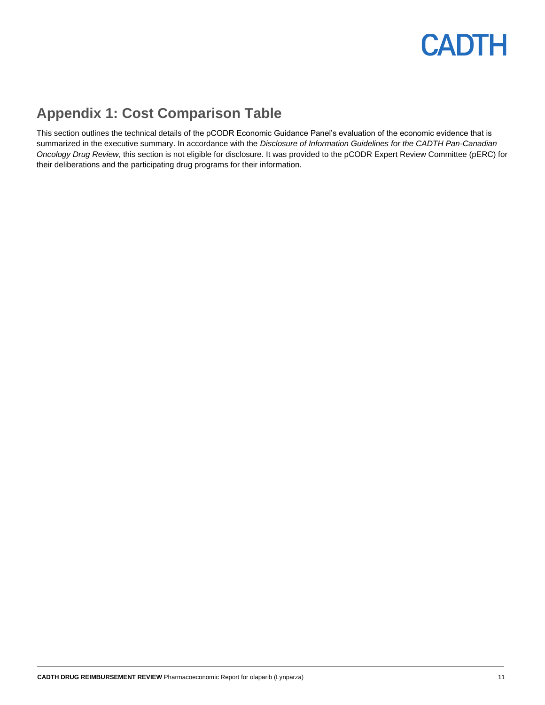### <span id="page-10-0"></span>**Appendix 1: Cost Comparison Table**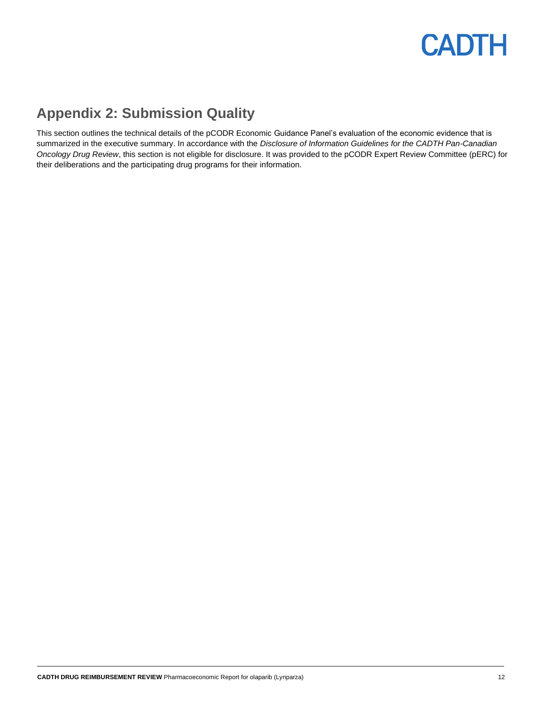### <span id="page-11-0"></span>**Appendix 2: Submission Quality**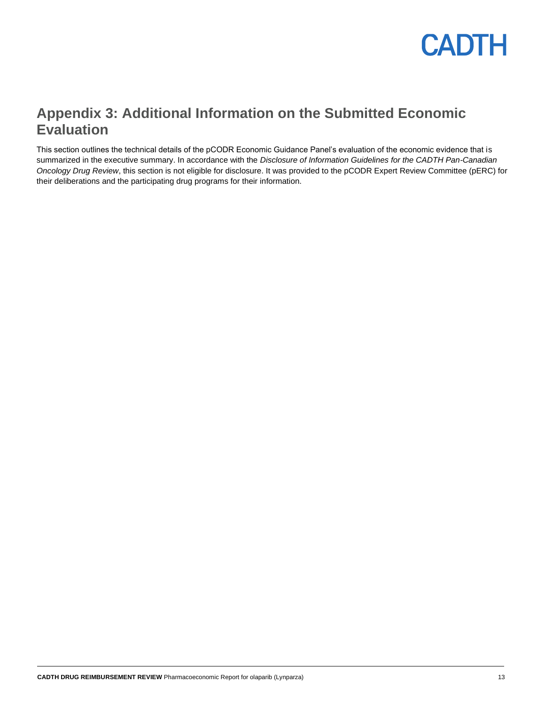

#### <span id="page-12-0"></span>**Appendix 3: Additional Information on the Submitted Economic Evaluation**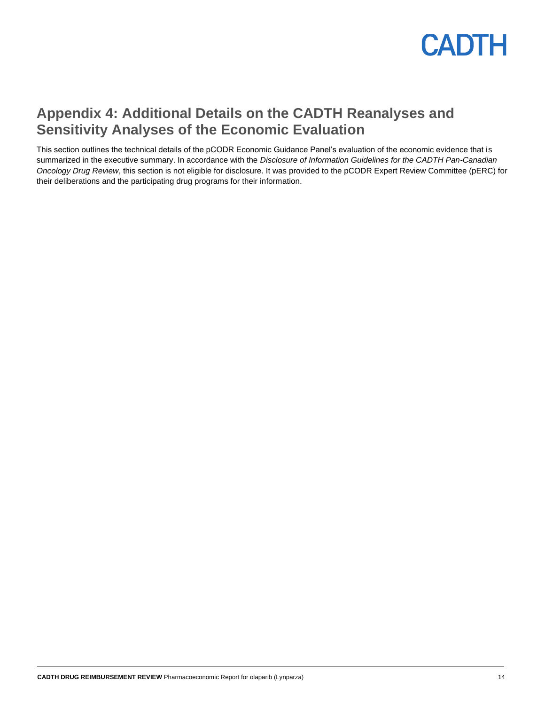

#### <span id="page-13-0"></span>**Appendix 4: Additional Details on the CADTH Reanalyses and Sensitivity Analyses of the Economic Evaluation**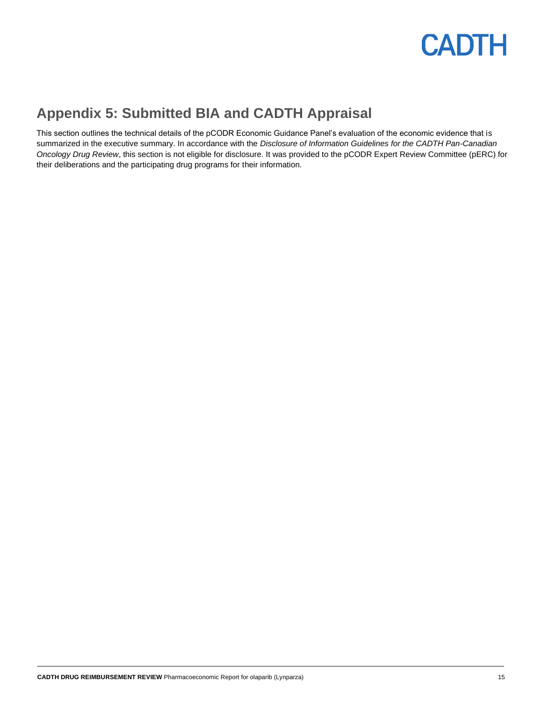

### <span id="page-14-0"></span>**Appendix 5: Submitted BIA and CADTH Appraisal**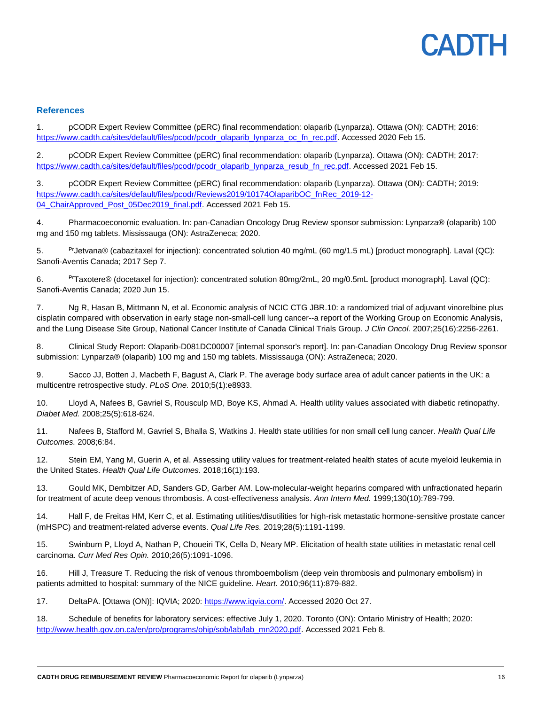#### **References**

1. pCODR Expert Review Committee (pERC) final recommendation: olaparib (Lynparza). Ottawa (ON): CADTH; 2016: [https://www.cadth.ca/sites/default/files/pcodr/pcodr\\_olaparib\\_lynparza\\_oc\\_fn\\_rec.pdf.](https://www.cadth.ca/sites/default/files/pcodr/pcodr_olaparib_lynparza_oc_fn_rec.pdf) Accessed 2020 Feb 15.

2. pCODR Expert Review Committee (pERC) final recommendation: olaparib (Lynparza). Ottawa (ON): CADTH; 2017: [https://www.cadth.ca/sites/default/files/pcodr/pcodr\\_olaparib\\_lynparza\\_resub\\_fn\\_rec.pdf.](https://www.cadth.ca/sites/default/files/pcodr/pcodr_olaparib_lynparza_resub_fn_rec.pdf) Accessed 2021 Feb 15.

3. pCODR Expert Review Committee (pERC) final recommendation: olaparib (Lynparza). Ottawa (ON): CADTH; 2019: [https://www.cadth.ca/sites/default/files/pcodr/Reviews2019/10174OlaparibOC\\_fnRec\\_2019-12-](https://www.cadth.ca/sites/default/files/pcodr/Reviews2019/10174OlaparibOC_fnRec_2019-12-04_ChairApproved_Post_05Dec2019_final.pdf) [04\\_ChairApproved\\_Post\\_05Dec2019\\_final.pdf.](https://www.cadth.ca/sites/default/files/pcodr/Reviews2019/10174OlaparibOC_fnRec_2019-12-04_ChairApproved_Post_05Dec2019_final.pdf) Accessed 2021 Feb 15.

4. Pharmacoeconomic evaluation. In: pan-Canadian Oncology Drug Review sponsor submission: Lynparza® (olaparib) 100 mg and 150 mg tablets. Mississauga (ON): AstraZeneca; 2020.

5. PrJetvana® (cabazitaxel for injection): concentrated solution 40 mg/mL (60 mg/1.5 mL) [product monograph]. Laval (QC): Sanofi-Aventis Canada; 2017 Sep 7.

6. PrTaxotere® (docetaxel for injection): concentrated solution 80mg/2mL, 20 mg/0.5mL [product monograph]. Laval (QC): Sanofi-Aventis Canada; 2020 Jun 15.

7. Ng R, Hasan B, Mittmann N, et al. Economic analysis of NCIC CTG JBR.10: a randomized trial of adjuvant vinorelbine plus cisplatin compared with observation in early stage non-small-cell lung cancer--a report of the Working Group on Economic Analysis, and the Lung Disease Site Group, National Cancer Institute of Canada Clinical Trials Group. *J Clin Oncol.* 2007;25(16):2256-2261.

8. Clinical Study Report: Olaparib-D081DC00007 [internal sponsor's report]. In: pan-Canadian Oncology Drug Review sponsor submission: Lynparza® (olaparib) 100 mg and 150 mg tablets. Mississauga (ON): AstraZeneca; 2020.

9. Sacco JJ, Botten J, Macbeth F, Bagust A, Clark P. The average body surface area of adult cancer patients in the UK: a multicentre retrospective study. *PLoS One.* 2010;5(1):e8933.

10. Lloyd A, Nafees B, Gavriel S, Rousculp MD, Boye KS, Ahmad A. Health utility values associated with diabetic retinopathy. *Diabet Med.* 2008;25(5):618-624.

11. Nafees B, Stafford M, Gavriel S, Bhalla S, Watkins J. Health state utilities for non small cell lung cancer. *Health Qual Life Outcomes.* 2008;6:84.

12. Stein EM, Yang M, Guerin A, et al. Assessing utility values for treatment-related health states of acute myeloid leukemia in the United States. *Health Qual Life Outcomes.* 2018;16(1):193.

13. Gould MK, Dembitzer AD, Sanders GD, Garber AM. Low-molecular-weight heparins compared with unfractionated heparin for treatment of acute deep venous thrombosis. A cost-effectiveness analysis. *Ann Intern Med.* 1999;130(10):789-799.

14. Hall F, de Freitas HM, Kerr C, et al. Estimating utilities/disutilities for high-risk metastatic hormone-sensitive prostate cancer (mHSPC) and treatment-related adverse events. *Qual Life Res.* 2019;28(5):1191-1199.

15. Swinburn P, Lloyd A, Nathan P, Choueiri TK, Cella D, Neary MP. Elicitation of health state utilities in metastatic renal cell carcinoma. *Curr Med Res Opin.* 2010;26(5):1091-1096.

16. Hill J, Treasure T. Reducing the risk of venous thromboembolism (deep vein thrombosis and pulmonary embolism) in patients admitted to hospital: summary of the NICE guideline. *Heart.* 2010;96(11):879-882.

17. DeltaPA. [Ottawa (ON)]: IQVIA; 2020[: https://www.iqvia.com/.](https://www.iqvia.com/) Accessed 2020 Oct 27.

18. Schedule of benefits for laboratory services: effective July 1, 2020. Toronto (ON): Ontario Ministry of Health; 2020: [http://www.health.gov.on.ca/en/pro/programs/ohip/sob/lab/lab\\_mn2020.pdf.](http://www.health.gov.on.ca/en/pro/programs/ohip/sob/lab/lab_mn2020.pdf) Accessed 2021 Feb 8.